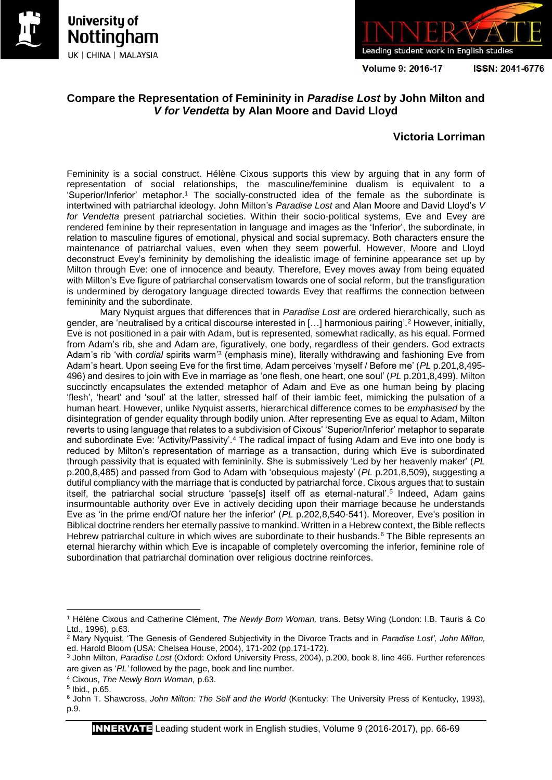





**Volume 9: 2016-17** 

ISSN: 2041-6776

## **Compare the Representation of Femininity in** *Paradise Lost* **by John Milton and**  *V for Vendetta* **by Alan Moore and David Lloyd**

## **Victoria Lorriman**

Femininity is a social construct. Hélène Cixous supports this view by arguing that in any form of representation of social relationships, the masculine/feminine dualism is equivalent to a 'Superior/Inferior' metaphor.<sup>1</sup> The socially-constructed idea of the female as the subordinate is intertwined with patriarchal ideology. John Milton's *Paradise Lost* and Alan Moore and David Lloyd's *V for Vendetta* present patriarchal societies. Within their socio-political systems, Eve and Evey are rendered feminine by their representation in language and images as the 'Inferior', the subordinate, in relation to masculine figures of emotional, physical and social supremacy. Both characters ensure the maintenance of patriarchal values, even when they seem powerful. However, Moore and Lloyd deconstruct Evey's femininity by demolishing the idealistic image of feminine appearance set up by Milton through Eve: one of innocence and beauty. Therefore, Evey moves away from being equated with Milton's Eve figure of patriarchal conservatism towards one of social reform, but the transfiguration is undermined by derogatory language directed towards Evey that reaffirms the connection between femininity and the subordinate.

Mary Nyquist argues that differences that in *Paradise Lost* are ordered hierarchically, such as gender, are 'neutralised by a critical discourse interested in […] harmonious pairing'.<sup>2</sup> However, initially, Eve is not positioned in a pair with Adam, but is represented, somewhat radically, as his equal. Formed from Adam's rib, she and Adam are, figuratively, one body, regardless of their genders. God extracts Adam's rib 'with *cordial* spirits warm<sup>'3</sup> (emphasis mine), literally withdrawing and fashioning Eve from Adam's heart. Upon seeing Eve for the first time, Adam perceives 'myself / Before me' (*PL* p.201,8,495- 496) and desires to join with Eve in marriage as 'one flesh, one heart, one soul' (*PL* p.201,8,499). Milton succinctly encapsulates the extended metaphor of Adam and Eve as one human being by placing 'flesh', 'heart' and 'soul' at the latter, stressed half of their iambic feet, mimicking the pulsation of a human heart. However, unlike Nyquist asserts, hierarchical difference comes to be *emphasised* by the disintegration of gender equality through bodily union. After representing Eve as equal to Adam, Milton reverts to using language that relates to a subdivision of Cixous' 'Superior/Inferior' metaphor to separate and subordinate Eve: 'Activity/Passivity'.<sup>4</sup> The radical impact of fusing Adam and Eve into one body is reduced by Milton's representation of marriage as a transaction, during which Eve is subordinated through passivity that is equated with femininity. She is submissively 'Led by her heavenly maker' (*PL*  p.200,8,485) and passed from God to Adam with 'obsequious majesty' (*PL* p.201,8,509), suggesting a dutiful compliancy with the marriage that is conducted by patriarchal force. Cixous argues that to sustain itself, the patriarchal social structure 'passe[s] itself off as eternal-natural'.<sup>5</sup> Indeed, Adam gains insurmountable authority over Eve in actively deciding upon their marriage because he understands Eve as 'in the prime end/Of nature her the inferior' (*PL* p.202,8,540-541). Moreover, Eve's position in Biblical doctrine renders her eternally passive to mankind. Written in a Hebrew context, the Bible reflects Hebrew patriarchal culture in which wives are subordinate to their husbands.<sup>6</sup> The Bible represents an eternal hierarchy within which Eve is incapable of completely overcoming the inferior, feminine role of subordination that patriarchal domination over religious doctrine reinforces.

1

<sup>1</sup> Hélène Cixous and Catherine Clément, *The Newly Born Woman,* trans. Betsy Wing (London: I.B. Tauris & Co Ltd., 1996), p.63.

<sup>2</sup> Mary Nyquist, 'The Genesis of Gendered Subjectivity in the Divorce Tracts and in *Paradise Lost', John Milton,*  ed. Harold Bloom (USA: Chelsea House, 2004), 171-202 (pp.171-172).

<sup>3</sup> John Milton, *Paradise Lost* (Oxford: Oxford University Press, 2004), p.200, book 8, line 466. Further references are given as '*PL'* followed by the page, book and line number.

<sup>4</sup> Cixous, *The Newly Born Woman,* p.63.

<sup>5</sup> Ibid.*,* p.65.

<sup>6</sup> John T. Shawcross, *John Milton: The Self and the World* (Kentucky: The University Press of Kentucky, 1993), p.9.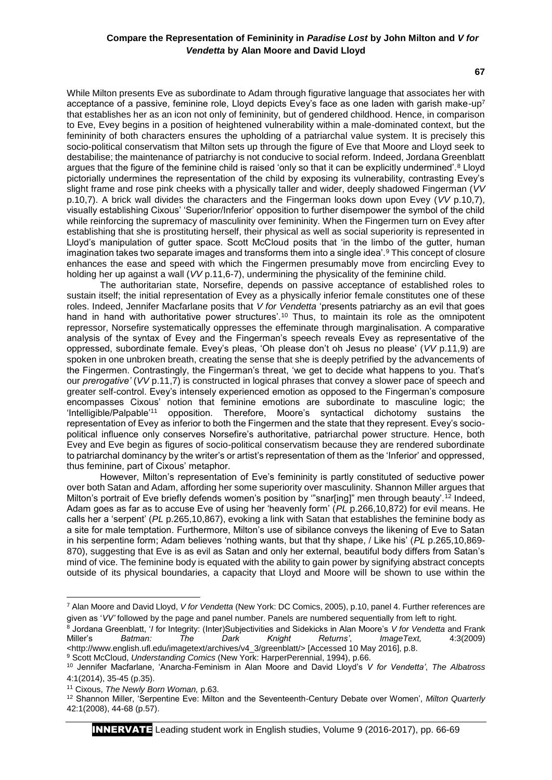While Milton presents Eve as subordinate to Adam through figurative language that associates her with acceptance of a passive, feminine role, Lloyd depicts Evey's face as one laden with garish make-up<sup>7</sup> that establishes her as an icon not only of femininity, but of gendered childhood. Hence, in comparison to Eve, Evey begins in a position of heightened vulnerability within a male-dominated context, but the femininity of both characters ensures the upholding of a patriarchal value system. It is precisely this socio-political conservatism that Milton sets up through the figure of Eve that Moore and Lloyd seek to destabilise; the maintenance of patriarchy is not conducive to social reform. Indeed, Jordana Greenblatt argues that the figure of the feminine child is raised 'only so that it can be explicitly undermined'.<sup>8</sup> Lloyd pictorially undermines the representation of the child by exposing its vulnerability, contrasting Evey's slight frame and rose pink cheeks with a physically taller and wider, deeply shadowed Fingerman (*VV*  p.10,7). A brick wall divides the characters and the Fingerman looks down upon Evey (*VV* p.10,7), visually establishing Cixous' 'Superior/Inferior' opposition to further disempower the symbol of the child while reinforcing the supremacy of masculinity over femininity. When the Fingermen turn on Evey after establishing that she is prostituting herself, their physical as well as social superiority is represented in Lloyd's manipulation of gutter space. Scott McCloud posits that 'in the limbo of the gutter, human imagination takes two separate images and transforms them into a single idea'.<sup>9</sup> This concept of closure enhances the ease and speed with which the Fingermen presumably move from encircling Evey to holding her up against a wall (*VV* p.11,6-7), undermining the physicality of the feminine child.

The authoritarian state, Norsefire, depends on passive acceptance of established roles to sustain itself; the initial representation of Evey as a physically inferior female constitutes one of these roles. Indeed, Jennifer Macfarlane posits that *V for Vendetta* 'presents patriarchy as an evil that goes hand in hand with authoritative power structures'.<sup>10</sup> Thus, to maintain its role as the omnipotent repressor, Norsefire systematically oppresses the effeminate through marginalisation. A comparative analysis of the syntax of Evey and the Fingerman's speech reveals Evey as representative of the oppressed, subordinate female. Evey's pleas, 'Oh please don't oh Jesus no please' (*VV* p.11,9) are spoken in one unbroken breath, creating the sense that she is deeply petrified by the advancements of the Fingermen. Contrastingly, the Fingerman's threat, 'we get to decide what happens to you. That's our *prerogative'* (*VV* p.11,7) is constructed in logical phrases that convey a slower pace of speech and greater self-control. Evey's intensely experienced emotion as opposed to the Fingerman's composure encompasses Cixous' notion that feminine emotions are subordinate to masculine logic; the 'Intelligible/Palpable'<sup>11</sup> opposition. Therefore, Moore's syntactical dichotomy sustains the representation of Evey as inferior to both the Fingermen and the state that they represent. Evey's sociopolitical influence only conserves Norsefire's authoritative, patriarchal power structure. Hence, both Evey and Eve begin as figures of socio-political conservatism because they are rendered subordinate to patriarchal dominancy by the writer's or artist's representation of them as the 'Inferior' and oppressed, thus feminine, part of Cixous' metaphor.

However, Milton's representation of Eve's femininity is partly constituted of seductive power over both Satan and Adam, affording her some superiority over masculinity. Shannon Miller argues that Milton's portrait of Eve briefly defends women's position by "snar[ing]" men through beauty'.<sup>12</sup> Indeed, Adam goes as far as to accuse Eve of using her 'heavenly form' (*PL* p.266,10,872) for evil means. He calls her a 'serpent' (*PL* p.265,10,867), evoking a link with Satan that establishes the feminine body as a site for male temptation. Furthermore, Milton's use of sibilance conveys the likening of Eve to Satan in his serpentine form; Adam believes 'nothing wants, but that thy shape, / Like his' (*PL* p.265,10,869- 870), suggesting that Eve is as evil as Satan and only her external, beautiful body differs from Satan's mind of vice. The feminine body is equated with the ability to gain power by signifying abstract concepts outside of its physical boundaries, a capacity that Lloyd and Moore will be shown to use within the

1

INNERVATE Leading student work in English studies, Volume 9 (2016-2017), pp. 66-69

<sup>7</sup> Alan Moore and David Lloyd, *V for Vendetta* (New York: DC Comics, 2005), p.10, panel 4. Further references are given as '*VV'* followed by the page and panel number. Panels are numbered sequentially from left to right.

<sup>8</sup> Jordana Greenblatt, '*I* for Integrity: (Inter)Subjectivities and Sidekicks in Alan Moore's *V for Vendetta* and Frank Miller's *Batman: The Dark Knight Returns'*, *ImageText,* 4:3(2009) <http://www.english.ufl.edu/imagetext/archives/v4\_3/greenblatt/> [Accessed 10 May 2016], p.8.

<sup>9</sup> Scott McCloud, *Understanding Comics* (New York: HarperPerennial, 1994), p.66.

<sup>10</sup> Jennifer Macfarlane, 'Anarcha-Feminism in Alan Moore and David Lloyd's *V for Vendetta'*, *The Albatross*  4:1(2014), 35-45 (p.35).

<sup>11</sup> Cixous, *The Newly Born Woman,* p.63.

<sup>12</sup> Shannon Miller, 'Serpentine Eve: Milton and the Seventeenth-Century Debate over Women', *Milton Quarterly*  42:1(2008), 44-68 (p.57).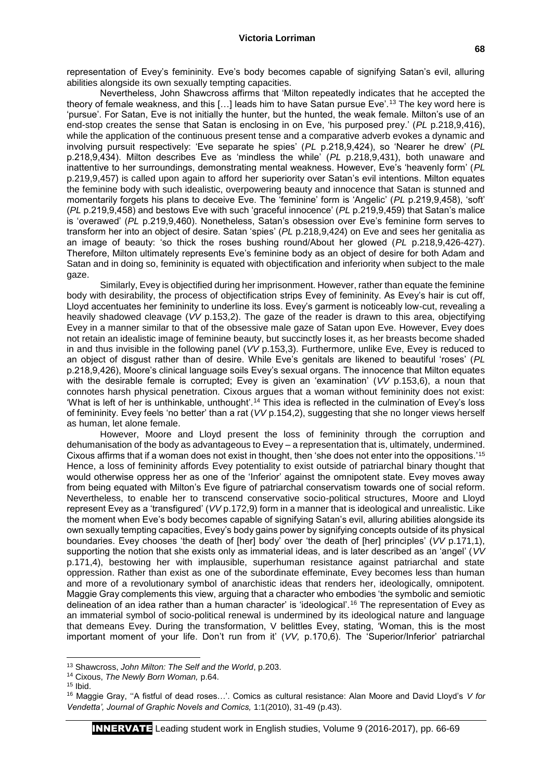representation of Evey's femininity. Eve's body becomes capable of signifying Satan's evil, alluring abilities alongside its own sexually tempting capacities.

Nevertheless, John Shawcross affirms that 'Milton repeatedly indicates that he accepted the theory of female weakness, and this […] leads him to have Satan pursue Eve'.<sup>13</sup> The key word here is 'pursue'. For Satan, Eve is not initially the hunter, but the hunted, the weak female. Milton's use of an end-stop creates the sense that Satan is enclosing in on Eve, 'his purposed prey.' (*PL* p.218,9,416), while the application of the continuous present tense and a comparative adverb evokes a dynamic and involving pursuit respectively: 'Eve separate he spies' (*PL* p.218,9,424), so 'Nearer he drew' (*PL*  p.218,9,434). Milton describes Eve as 'mindless the while' (*PL* p.218,9,431), both unaware and inattentive to her surroundings, demonstrating mental weakness. However, Eve's 'heavenly form' (*PL*  p.219,9,457) is called upon again to afford her superiority over Satan's evil intentions. Milton equates the feminine body with such idealistic, overpowering beauty and innocence that Satan is stunned and momentarily forgets his plans to deceive Eve. The 'feminine' form is 'Angelic' (*PL* p.219,9,458), 'soft' (*PL* p.219,9,458) and bestows Eve with such 'graceful innocence' (*PL* p.219,9,459) that Satan's malice is 'overawed' (*PL* p.219,9,460). Nonetheless, Satan's obsession over Eve's feminine form serves to transform her into an object of desire. Satan 'spies' (*PL* p.218,9,424) on Eve and sees her genitalia as an image of beauty: 'so thick the roses bushing round/About her glowed (*PL* p.218,9,426-427). Therefore, Milton ultimately represents Eve's feminine body as an object of desire for both Adam and Satan and in doing so, femininity is equated with objectification and inferiority when subject to the male gaze.

Similarly, Evey is objectified during her imprisonment. However, rather than equate the feminine body with desirability, the process of objectification strips Evey of femininity. As Evey's hair is cut off, Lloyd accentuates her femininity to underline its loss. Evey's garment is noticeably low-cut, revealing a heavily shadowed cleavage (*VV* p.153,2). The gaze of the reader is drawn to this area, objectifying Evey in a manner similar to that of the obsessive male gaze of Satan upon Eve. However, Evey does not retain an idealistic image of feminine beauty, but succinctly loses it, as her breasts become shaded in and thus invisible in the following panel (*VV* p.153,3). Furthermore, unlike Eve, Evey is reduced to an object of disgust rather than of desire. While Eve's genitals are likened to beautiful 'roses' (*PL*  p.218,9,426), Moore's clinical language soils Evey's sexual organs. The innocence that Milton equates with the desirable female is corrupted; Evey is given an 'examination' (*VV* p.153,6), a noun that connotes harsh physical penetration. Cixous argues that a woman without femininity does not exist: 'What is left of her is unthinkable, unthought'.<sup>14</sup> This idea is reflected in the culmination of Evey's loss of femininity. Evey feels 'no better' than a rat (*VV* p.154,2), suggesting that she no longer views herself as human, let alone female.

However, Moore and Lloyd present the loss of femininity through the corruption and dehumanisation of the body as advantageous to Evey – a representation that is, ultimately, undermined. Cixous affirms that if a woman does not exist in thought, then 'she does not enter into the oppositions.'<sup>15</sup> Hence, a loss of femininity affords Evey potentiality to exist outside of patriarchal binary thought that would otherwise oppress her as one of the 'Inferior' against the omnipotent state. Evey moves away from being equated with Milton's Eve figure of patriarchal conservatism towards one of social reform. Nevertheless, to enable her to transcend conservative socio-political structures, Moore and Lloyd represent Evey as a 'transfigured' (*VV* p.172,9) form in a manner that is ideological and unrealistic. Like the moment when Eve's body becomes capable of signifying Satan's evil, alluring abilities alongside its own sexually tempting capacities, Evey's body gains power by signifying concepts outside of its physical boundaries. Evey chooses 'the death of [her] body' over 'the death of [her] principles' (*VV* p.171,1), supporting the notion that she exists only as immaterial ideas, and is later described as an 'angel' (*VV*  p.171,4), bestowing her with implausible, superhuman resistance against patriarchal and state oppression. Rather than exist as one of the subordinate effeminate, Evey becomes less than human and more of a revolutionary symbol of anarchistic ideas that renders her, ideologically, omnipotent. Maggie Gray complements this view, arguing that a character who embodies 'the symbolic and semiotic delineation of an idea rather than a human character' is 'ideological'.<sup>16</sup> The representation of Evey as an immaterial symbol of socio-political renewal is undermined by its ideological nature and language that demeans Evey. During the transformation, V belittles Evey, stating, 'Woman, this is the most important moment of your life. Don't run from it' (*VV,* p.170,6). The 'Superior/Inferior' patriarchal

**.** 

<sup>13</sup> Shawcross, *John Milton: The Self and the World*, p.203.

<sup>14</sup> Cixous, *The Newly Born Woman,* p.64.

 $15$  Ibid.

<sup>16</sup> Maggie Gray, ''A fistful of dead roses…'. Comics as cultural resistance: Alan Moore and David Lloyd's *V for Vendetta', Journal of Graphic Novels and Comics,* 1:1(2010), 31-49 (p.43).